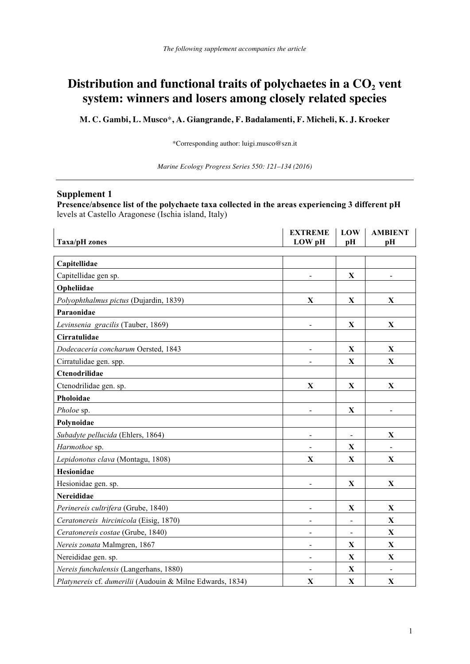## Distribution and functional traits of polychaetes in a  $CO<sub>2</sub>$  vent **system: winners and losers among closely related species**

**M. C. Gambi, L. Musco**\***, A. Giangrande, F. Badalamenti, F. Micheli, K. J. Kroeker**

\*Corresponding author: luigi.musco@szn.it

*Marine Ecology Progress Series 550: 121–134 (2016)*

## **Supplement 1**

**Presence/absence list of the polychaete taxa collected in the areas experiencing 3 different pH**  levels at Castello Aragonese (Ischia island, Italy)

|                                                           | <b>EXTREME</b>               | LOW            | <b>AMBIENT</b> |
|-----------------------------------------------------------|------------------------------|----------------|----------------|
| <b>Taxa/pH</b> zones                                      | LOW pH                       | pН             | рH             |
| Capitellidae                                              |                              |                |                |
| Capitellidae gen sp.                                      | $\qquad \qquad \blacksquare$ | $\mathbf X$    | $\blacksquare$ |
| Opheliidae                                                |                              |                |                |
| Polyophthalmus pictus (Dujardin, 1839)                    | X                            | X              | X              |
| Paraonidae                                                |                              |                |                |
| Levinsenia gracilis (Tauber, 1869)                        | $\overline{\phantom{a}}$     | X              | X              |
| Cirratulidae                                              |                              |                |                |
| Dodecaceria concharum Oersted, 1843                       | $\overline{\phantom{0}}$     | $\mathbf X$    | X              |
| Cirratulidae gen. spp.                                    |                              | $\mathbf X$    | $\mathbf X$    |
| Ctenodrilidae                                             |                              |                |                |
| Ctenodrilidae gen. sp.                                    | $\mathbf X$                  | $\mathbf X$    | $\mathbf X$    |
| Pholoidae                                                 |                              |                |                |
| Pholoe sp.                                                | $\blacksquare$               | X              |                |
| Polynoidae                                                |                              |                |                |
| Subadyte pellucida (Ehlers, 1864)                         | $\blacksquare$               | $\blacksquare$ | X              |
| Harmothoe sp.                                             |                              | $\mathbf{X}$   | $\blacksquare$ |
| Lepidonotus clava (Montagu, 1808)                         | X                            | $\mathbf X$    | X              |
| Hesionidae                                                |                              |                |                |
| Hesionidae gen. sp.                                       | $\blacksquare$               | $\mathbf X$    | $\mathbf X$    |
| Nereididae                                                |                              |                |                |
| Perinereis cultrifera (Grube, 1840)                       | $\blacksquare$               | X              | $\mathbf X$    |
| Ceratonereis hircinicola (Eisig, 1870)                    | $\qquad \qquad \blacksquare$ | $\blacksquare$ | $\mathbf X$    |
| Ceratonereis costae (Grube, 1840)                         | $\qquad \qquad \blacksquare$ | $\blacksquare$ | $\mathbf X$    |
| Nereis zonata Malmgren, 1867                              | $\overline{\phantom{a}}$     | X              | $\mathbf X$    |
| Nereididae gen. sp.                                       | $\blacksquare$               | $\mathbf{X}$   | $\mathbf X$    |
| Nereis funchalensis (Langerhans, 1880)                    | $\blacksquare$               | X              | $\blacksquare$ |
| Platynereis cf. dumerilii (Audouin & Milne Edwards, 1834) | $\mathbf X$                  | X              | $\mathbf X$    |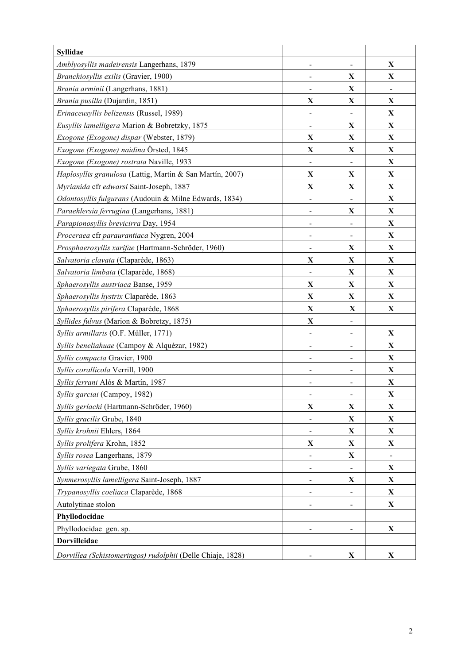| <b>Syllidae</b>                                            |                              |                              |              |
|------------------------------------------------------------|------------------------------|------------------------------|--------------|
| Amblyosyllis madeirensis Langerhans, 1879                  | $\overline{\phantom{a}}$     | $\qquad \qquad \blacksquare$ | X            |
| Branchiosyllis exilis (Gravier, 1900)                      | $\blacksquare$               | X                            | X            |
| Brania arminii (Langerhans, 1881)                          |                              | $\mathbf X$                  |              |
| Brania pusilla (Dujardin, 1851)                            | $\mathbf X$                  | $\mathbf X$                  | $\mathbf X$  |
| Erinaceusyllis belizensis (Russel, 1989)                   | $\blacksquare$               | $\overline{\phantom{a}}$     | $\mathbf X$  |
| Eusyllis lamelligera Marion & Bobretzky, 1875              | $\overline{\phantom{a}}$     | X                            | X            |
| Exogone (Exogone) dispar (Webster, 1879)                   | $\mathbf X$                  | $\mathbf X$                  | X            |
| Exogone (Exogone) naidina Örsted, 1845                     | $\mathbf X$                  | $\mathbf X$                  | $\mathbf X$  |
| Exogone (Exogone) rostrata Naville, 1933                   |                              |                              | X            |
| Haplosyllis granulosa (Lattig, Martin & San Martín, 2007)  | $\mathbf X$                  | $\mathbf X$                  | $\mathbf X$  |
| Myrianida cfr edwarsi Saint-Joseph, 1887                   | $\mathbf X$                  | $\mathbf X$                  | $\mathbf X$  |
| Odontosyllis fulgurans (Audouin & Milne Edwards, 1834)     | $\qquad \qquad \blacksquare$ | $\overline{\phantom{a}}$     | X            |
| Paraehlersia ferrugina (Langerhans, 1881)                  | $\overline{\phantom{0}}$     | X                            | X            |
| Parapionosyllis brevicirra Day, 1954                       | $\overline{\phantom{a}}$     | $\overline{\phantom{0}}$     | X            |
| Proceraea cfr paraurantiaca Nygren, 2004                   |                              |                              | $\mathbf X$  |
| Prosphaerosyllis xarifae (Hartmann-Schröder, 1960)         | $\qquad \qquad \blacksquare$ | $\mathbf X$                  | $\mathbf X$  |
| Salvatoria clavata (Claparède, 1863)                       | $\mathbf X$                  | $\mathbf X$                  | $\mathbf X$  |
| Salvatoria limbata (Claparède, 1868)                       | $\overline{\phantom{a}}$     | X                            | X            |
| Sphaerosyllis austriaca Banse, 1959                        | X                            | X                            | X            |
| Sphaerosyllis hystrix Claparède, 1863                      | $\mathbf X$                  | $\mathbf X$                  | $\mathbf X$  |
| Sphaerosyllis pirifera Claparède, 1868                     | X                            | X                            | X            |
| Syllides fulvus (Marion & Bobretzy, 1875)                  | $\mathbf X$                  | $\qquad \qquad \blacksquare$ |              |
| Syllis armillaris (O.F. Müller, 1771)                      | $\overline{\phantom{a}}$     | $\overline{\phantom{a}}$     | X            |
| Syllis beneliahuae (Campoy & Alquézar, 1982)               | $\overline{\phantom{a}}$     | $\overline{\phantom{a}}$     | X            |
| Syllis compacta Gravier, 1900                              | $\overline{\phantom{a}}$     |                              | X            |
| Syllis corallicola Verrill, 1900                           | $\overline{\phantom{0}}$     | $\overline{\phantom{a}}$     | X            |
| Syllis ferrani Alós & Martín, 1987                         |                              | -                            | X            |
| Syllis garciai (Campoy, 1982)                              |                              |                              | X            |
| Syllis gerlachi (Hartmann-Schröder, 1960)                  | $\mathbf X$                  | $\mathbf X$                  | $\mathbf X$  |
| Syllis gracilis Grube, 1840                                | $\overline{\phantom{a}}$     | $\mathbf X$                  | X            |
| Syllis krohnii Ehlers, 1864                                |                              | X                            | X            |
| Syllis prolifera Krohn, 1852                               | $\mathbf X$                  | $\mathbf X$                  | $\mathbf X$  |
| Syllis rosea Langerhans, 1879                              |                              | $\mathbf X$                  |              |
| Syllis variegata Grube, 1860                               | $\qquad \qquad \blacksquare$ |                              | $\mathbf{X}$ |
| Synmerosyllis lamelligera Saint-Joseph, 1887               | $\overline{\phantom{a}}$     | X                            | X            |
| Trypanosyllis coeliaca Claparède, 1868                     | $\overline{\phantom{a}}$     | $\overline{\phantom{a}}$     | X            |
| Autolytinae stolon                                         |                              |                              | X            |
| Phyllodocidae                                              |                              |                              |              |
| Phyllodocidae gen. sp.                                     |                              |                              | $\mathbf X$  |
| <b>Dorvilleidae</b>                                        |                              |                              |              |
| Dorvillea (Schistomeringos) rudolphii (Delle Chiaje, 1828) |                              | $\mathbf X$                  | X            |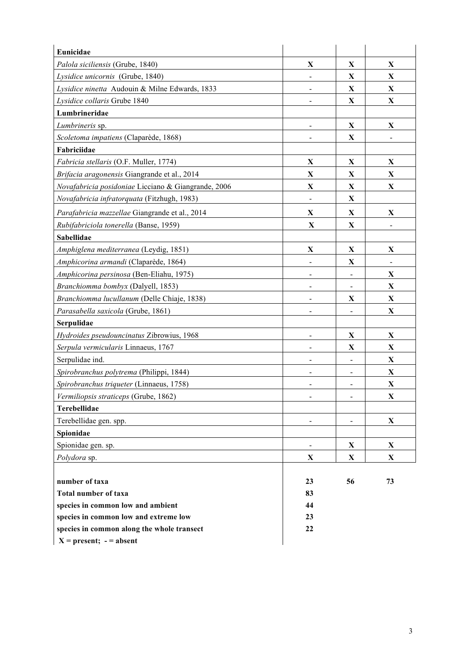| Eunicidae                                           |                              |                          |             |
|-----------------------------------------------------|------------------------------|--------------------------|-------------|
| Palola siciliensis (Grube, 1840)                    | $\mathbf X$                  | $\mathbf X$              | $\mathbf X$ |
| Lysidice unicornis (Grube, 1840)                    | $\blacksquare$               | X                        | X           |
| Lysidice ninetta Audouin & Milne Edwards, 1833      | $\qquad \qquad \blacksquare$ | $\mathbf X$              | X           |
| Lysidice collaris Grube 1840                        |                              | $\mathbf X$              | X           |
| Lumbrineridae                                       |                              |                          |             |
| Lumbrineris sp.                                     |                              | $\mathbf X$              | $\mathbf X$ |
| Scoletoma impatiens (Claparède, 1868)               | $\blacksquare$               | X                        |             |
| Fabriciidae                                         |                              |                          |             |
| Fabricia stellaris (O.F. Muller, 1774)              | $\mathbf X$                  | $\mathbf X$              | X           |
| Brifacia aragonensis Giangrande et al., 2014        | X                            | $\mathbf X$              | X           |
| Novafabricia posidoniae Licciano & Giangrande, 2006 | $\mathbf X$                  | $\mathbf X$              | $\mathbf X$ |
| Novafabricia infratorquata (Fitzhugh, 1983)         |                              | $\mathbf X$              |             |
| Parafabricia mazzellae Giangrande et al., 2014      | $\mathbf X$                  | $\mathbf X$              | X           |
| Rubifabriciola tonerella (Banse, 1959)              | $\mathbf X$                  | $\mathbf X$              |             |
| <b>Sabellidae</b>                                   |                              |                          |             |
| Amphiglena mediterranea (Leydig, 1851)              | $\mathbf X$                  | $\mathbf X$              | X           |
| Amphicorina armandi (Claparède, 1864)               |                              | $\mathbf X$              |             |
| Amphicorina persinosa (Ben-Eliahu, 1975)            | $\blacksquare$               |                          | $\mathbf X$ |
| Branchiomma bombyx (Dalyell, 1853)                  |                              |                          | $\mathbf X$ |
| Branchiomma lucullanum (Delle Chiaje, 1838)         | $\overline{\phantom{a}}$     | X                        | $\mathbf X$ |
| Parasabella saxicola (Grube, 1861)                  |                              |                          | X           |
| Serpulidae                                          |                              |                          |             |
| Hydroides pseudouncinatus Zibrowius, 1968           | $\blacksquare$               | $\mathbf X$              | X           |
| Serpula vermicularis Linnaeus, 1767                 |                              | $\mathbf X$              | $\mathbf X$ |
| Serpulidae ind.                                     | -                            | $\blacksquare$           | $\mathbf X$ |
| Spirobranchus polytrema (Philippi, 1844)            | $\blacksquare$               | $\overline{\phantom{a}}$ | X           |
| Spirobranchus triqueter (Linnaeus, 1758)            | $\blacksquare$               | $\overline{\phantom{a}}$ | X           |
| Vermiliopsis straticeps (Grube, 1862)               |                              |                          | X           |
| Terebellidae                                        |                              |                          |             |
| Terebellidae gen. spp.                              | $\blacksquare$               | $\blacksquare$           | $\mathbf X$ |
| Spionidae                                           |                              |                          |             |
| Spionidae gen. sp.                                  | $\blacksquare$               | X                        | X           |
| <i>Polydora</i> sp.                                 | X                            | X                        | X           |
|                                                     |                              |                          |             |
| number of taxa                                      | 23                           | 56                       | 73          |
| <b>Total number of taxa</b>                         | 83                           |                          |             |
| species in common low and ambient                   | 44                           |                          |             |
| species in common low and extreme low               | 23                           |                          |             |
| species in common along the whole transect          | 22                           |                          |             |
| $X = present; - = absent$                           |                              |                          |             |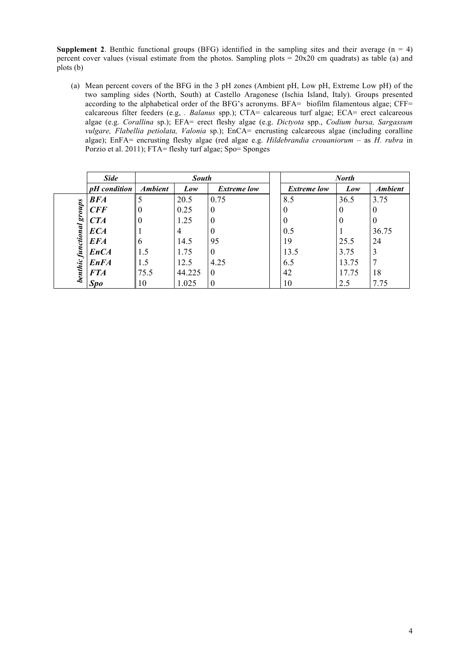**Supplement 2**. Benthic functional groups (BFG) identified in the sampling sites and their average  $(n = 4)$ percent cover values (visual estimate from the photos. Sampling plots =  $20x20$  cm quadrats) as table (a) and plots (b)

(a) Mean percent covers of the BFG in the 3 pH zones (Ambient pH, Low pH, Extreme Low pH) of the two sampling sides (North, South) at Castello Aragonese (Ischia Island, Italy). Groups presented according to the alphabetical order of the BFG's acronyms. BFA= biofilm filamentous algae; CFF= calcareous filter feeders (e.g, *. Balanus* spp.); CTA= calcareous turf algae; ECA= erect calcareous algae (e.g. *Corallina* sp.); EFA= erect fleshy algae (e.g. *Dictyota* spp., *Codium bursa, Sargassum vulgare, Flabellia petiolata, Valonia* sp.); EnCA= encrusting calcareous algae (including coralline algae); EnFA= encrusting fleshy algae (red algae e.g. *Hildebrandia crouaniorum* – as *H. rubra* in Porzio et al. 2011); FTA= fleshy turf algae; Spo= Sponges

|                           | <b>Side</b>    | <b>South</b>   |        |                    |                    | <b>North</b> |                |
|---------------------------|----------------|----------------|--------|--------------------|--------------------|--------------|----------------|
|                           | $pH$ condition | <b>Ambient</b> | Low    | <b>Extreme low</b> | <b>Extreme low</b> | Low          | <b>Ambient</b> |
|                           | <b>BFA</b>     |                | 20.5   | 0.75               | 8.5                | 36.5         | 3.75           |
| sanong                    | CFF            | $\theta$       | 0.25   | $\theta$           | 0                  | $\theta$     | $\theta$       |
|                           | CTA            | 0              | 1.25   | 0                  | 0                  | $\theta$     | $\theta$       |
|                           | <b>ECA</b>     |                | 4      | 0                  | 0.5                |              | 36.75          |
|                           | <b>EFA</b>     | 6              | 14.5   | 95                 | 19                 | 25.5         | 24             |
|                           | <b>EnCA</b>    | 1.5            | 1.75   | $\theta$           | 13.5               | 3.75         | 3              |
|                           | <b>EnFA</b>    | 1.5            | 12.5   | 4.25               | 6.5                | 13.75        | 7              |
| <b>benthic</b> functional | <b>FTA</b>     | 75.5           | 44.225 | $\theta$           | 42                 | 17.75        | 18             |
|                           | <b>Spo</b>     | 10             | 1.025  | 0                  | 10                 | 2.5          | 7.75           |